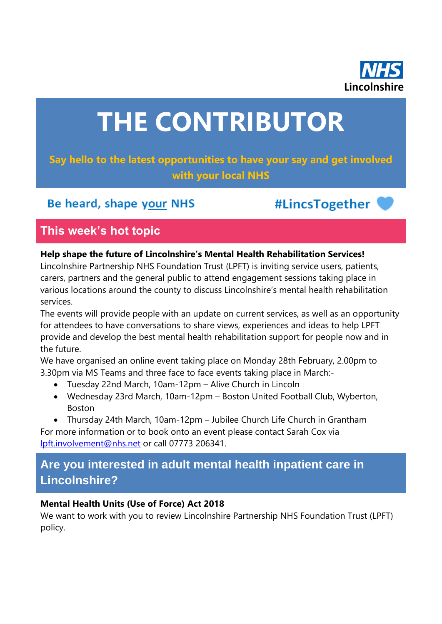

# **THE CONTRIBUTOR**

## **Say hello to the latest opportunities to have your say and get involved with your local NHS**

# Be heard, shape your NHS

#LincsTogether

# **This week's hot topic**

#### **Help shape the future of Lincolnshire's Mental Health Rehabilitation Services!**

Lincolnshire Partnership NHS Foundation Trust (LPFT) is inviting service users, patients, carers, partners and the general public to attend engagement sessions taking place in various locations around the county to discuss Lincolnshire's mental health rehabilitation services.

The events will provide people with an update on current services, as well as an opportunity for attendees to have conversations to share views, experiences and ideas to help LPFT provide and develop the best mental health rehabilitation support for people now and in the future.

We have organised an online event taking place on Monday 28th February, 2.00pm to 3.30pm via MS Teams and three face to face events taking place in March:-

- Tuesday 22nd March, 10am-12pm Alive Church in Lincoln
- Wednesday 23rd March, 10am-12pm Boston United Football Club, Wyberton, Boston
- Thursday 24th March, 10am-12pm Jubilee Church Life Church in Grantham

For more information or to book onto an event please contact Sarah Cox via [lpft.involvement@nhs.net](mailto:lpft.involvement@nhs.net) or call 07773 206341.

# **Are you interested in adult mental health inpatient care in Lincolnshire?**

## **Mental Health Units (Use of Force) Act 2018**

We want to work with you to review Lincolnshire Partnership NHS Foundation Trust (LPFT) policy.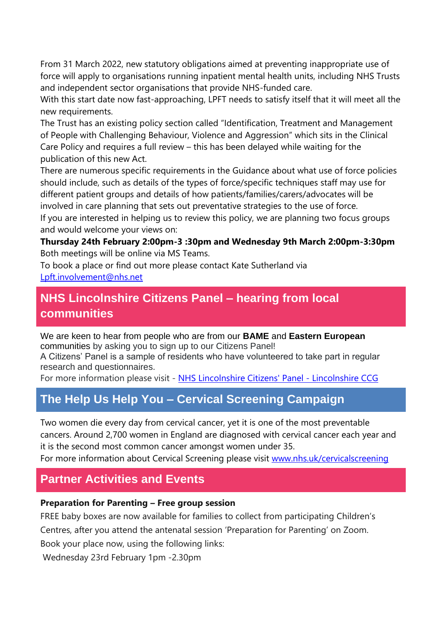From 31 March 2022, new statutory obligations aimed at preventing inappropriate use of force will apply to organisations running inpatient mental health units, including NHS Trusts and independent sector organisations that provide NHS-funded care.

With this start date now fast-approaching, LPFT needs to satisfy itself that it will meet all the new requirements.

The Trust has an existing policy section called "Identification, Treatment and Management of People with Challenging Behaviour, Violence and Aggression" which sits in the Clinical Care Policy and requires a full review – this has been delayed while waiting for the publication of this new Act.

There are numerous specific requirements in the Guidance about what use of force policies should include, such as details of the types of force/specific techniques staff may use for different patient groups and details of how patients/families/carers/advocates will be involved in care planning that sets out preventative strategies to the use of force. If you are interested in helping us to review this policy, we are planning two focus groups

and would welcome your views on:

**Thursday 24th February 2:00pm-3 :30pm and Wednesday 9th March 2:00pm-3:30pm**  Both meetings will be online via MS Teams.

To book a place or find out more please contact Kate Sutherland via [Lpft.involvement@nhs.net](mailto:Lpft.involvement@nhs.net)

## **NHS Lincolnshire Citizens Panel – hearing from local communities**

We are keen to hear from people who are from our **BAME** and **Eastern European** communities by asking you to sign up to our Citizens Panel! A Citizens' Panel is a sample of residents who have volunteered to take part in regular

research and questionnaires. For more information please visit - [NHS Lincolnshire Citizens' Panel -](https://lincolnshireccg.nhs.uk/citizenpanel/) Lincolnshire CCG

# **The Help Us Help You – Cervical Screening Campaign**

Two women die every day from cervical cancer, yet it is one of the most preventable cancers. Around 2,700 women in England are diagnosed with cervical cancer each year and it is the second most common cancer amongst women under 35.

For more information about Cervical Screening please visit [www.nhs.uk/cervicalscreening](http://www.nhs.uk/cervicalscreening)

## **Partner Activities and Events**

#### **Preparation for Parenting – Free group session**

FREE baby boxes are now available for families to collect from participating Children's Centres, after you attend the antenatal session 'Preparation for Parenting' on Zoom.

Book your place now, using the following links:

Wednesday 23rd February 1pm -2.30pm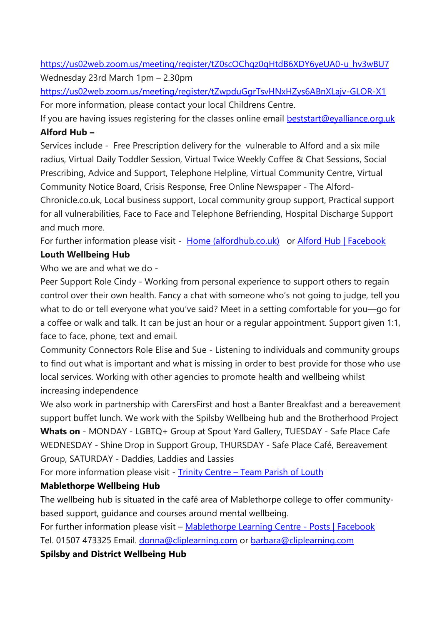[https://us02web.zoom.us/meeting/register/tZ0scOChqz0qHtdB6XDY6yeUA0-u\\_hv3wBU7](https://us02web.zoom.us/meeting/register/tZ0scOChqz0qHtdB6XDY6yeUA0-u_hv3wBU7) Wednesday 23rd March 1pm – 2.30pm

<https://us02web.zoom.us/meeting/register/tZwpduGgrTsvHNxHZys6ABnXLajv-GLOR-X1> For more information, please contact your local Childrens Centre.

If you are having issues registering for the classes online email **beststart@eyalliance.org.uk Alford Hub –**

Services include - Free Prescription delivery for the vulnerable to Alford and a six mile radius, Virtual Daily Toddler Session, Virtual Twice Weekly Coffee & Chat Sessions, Social Prescribing, Advice and Support, Telephone Helpline, Virtual Community Centre, Virtual Community Notice Board, Crisis Response, Free Online Newspaper - The Alford-

Chronicle.co.uk, Local business support, Local community group support, Practical support for all vulnerabilities, Face to Face and Telephone Befriending, Hospital Discharge Support and much more.

For further information please visit - [Home \(alfordhub.co.uk\)](https://www.alfordhub.co.uk/) or [Alford Hub | Facebook](https://en-gb.facebook.com/groups/alfordhub/)

## **Louth Wellbeing Hub**

Who we are and what we do -

Peer Support Role Cindy - Working from personal experience to support others to regain control over their own health. Fancy a chat with someone who's not going to judge, tell you what to do or tell everyone what you've said? Meet in a setting comfortable for you—go for a coffee or walk and talk. It can be just an hour or a regular appointment. Support given 1:1, face to face, phone, text and email.

Community Connectors Role Elise and Sue - Listening to individuals and community groups to find out what is important and what is missing in order to best provide for those who use local services. Working with other agencies to promote health and wellbeing whilst increasing independence

We also work in partnership with CarersFirst and host a Banter Breakfast and a bereavement support buffet lunch. We work with the Spilsby Wellbeing hub and the Brotherhood Project **Whats on** - MONDAY - LGBTQ+ Group at Spout Yard Gallery, TUESDAY - Safe Place Cafe WEDNESDAY - Shine Drop in Support Group, THURSDAY - Safe Place Café, Bereavement Group, SATURDAY - Daddies, Laddies and Lassies

For more information please visit - Trinity Centre - [Team Parish of Louth](https://www.teamparishoflouth.org.uk/louth-churches/trinity-centre/)

## **Mablethorpe Wellbeing Hub**

The wellbeing hub is situated in the café area of Mablethorpe college to offer communitybased support, guidance and courses around mental wellbeing.

For further information please visit – [Mablethorpe Learning Centre -](https://www.facebook.com/clipmablethorpe/) Posts | Facebook

Tel. 01507 473325 Email. [donna@cliplearning.com](mailto:donna@cliplearning.com) or [barbara@cliplearning.com](mailto:barbara@cliplearning.com)

**Spilsby and District Wellbeing Hub**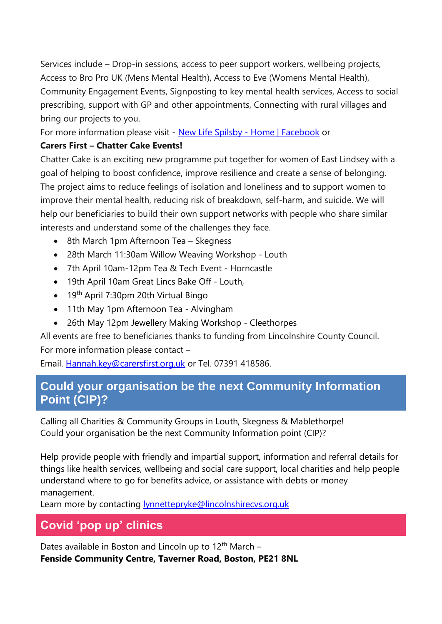Services include – Drop-in sessions, access to peer support workers, wellbeing projects, Access to Bro Pro UK (Mens Mental Health), Access to Eve (Womens Mental Health), Community Engagement Events, Signposting to key mental health services, Access to social prescribing, support with GP and other appointments, Connecting with rural villages and bring our projects to you.

For more information please visit - [New Life Spilsby -](https://www.facebook.com/newlifespilsby) Home | Facebook or

#### **Carers First – Chatter Cake Events!**

Chatter Cake is an exciting new programme put together for women of East Lindsey with a goal of helping to boost confidence, improve resilience and create a sense of belonging. The project aims to reduce feelings of isolation and loneliness and to support women to improve their mental health, reducing risk of breakdown, self-harm, and suicide. We will help our beneficiaries to build their own support networks with people who share similar interests and understand some of the challenges they face.

- 8th March 1pm Afternoon Tea Skegness
- 28th March 11:30am Willow Weaving Workshop Louth
- 7th April 10am-12pm Tea & Tech Event Horncastle
- 19th April 10am Great Lincs Bake Off Louth,
- $\bullet$  19<sup>th</sup> April 7:30pm 20th Virtual Bingo
- 11th May 1pm Afternoon Tea Alvingham
- 26th May 12pm Jewellery Making Workshop Cleethorpes

All events are free to beneficiaries thanks to funding from Lincolnshire County Council. For more information please contact –

Email. Hannah.key@carersfirst.org.uk or Tel. 07391 418586.

## **Could your organisation be the next Community Information Point (CIP)?**

Calling all Charities & Community Groups in Louth, Skegness & Mablethorpe! Could your organisation be the next Community Information point (CIP)?

Help provide people with friendly and impartial support, information and referral details for things like health services, wellbeing and social care support, local charities and help people understand where to go for benefits advice, or assistance with debts or money management.

Learn more by contacting [lynnettepryke@lincolnshirecvs.org.uk](mailto:lynnettepryke@lincolnshirecvs.org.uk)

# **Covid 'pop up' clinics**

Dates available in Boston and Lincoln up to  $12<sup>th</sup>$  March – **Fenside Community Centre, Taverner Road, Boston, PE21 8NL**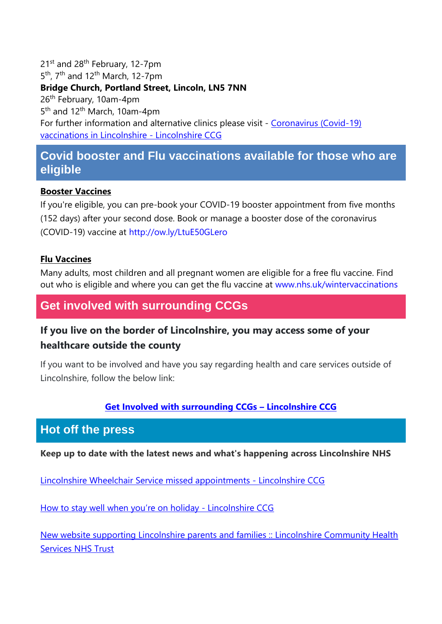21<sup>st</sup> and 28<sup>th</sup> February, 12-7pm 5<sup>th</sup>, 7<sup>th</sup> and 12<sup>th</sup> March, 12-7pm

## **Bridge Church, Portland Street, Lincoln, LN5 7NN**

26th February, 10am-4pm 5<sup>th</sup> and 12<sup>th</sup> March, 10am-4pm For further information and alternative clinics please visit - Coronavirus (Covid-19) [vaccinations in Lincolnshire -](https://lincolnshireccg.nhs.uk/grab-a-jab/) Lincolnshire CCG

## **Covid booster and Flu vaccinations available for those who are eligible**

#### **Booster Vaccines**

If you're eligible, you can pre-book your COVID-19 booster appointment from five months (152 days) after your second dose. Book or manage a booster dose of the coronavirus (COVID-19) vaccine at [http://ow.ly/LtuE50GLero](http://ow.ly/LtuE50GLero?fbclid=IwAR3XJEWleqYaBsRKKEZvzOQTPhh6xJMHMX7CjAbY_UUfz6ZWyBf0D1-L7zQ)

#### **Flu Vaccines**

Many adults, most children and all pregnant women are eligible for a free flu vaccine. Find out who is eligible and where you can get the flu vaccine at [www.nhs.uk/wintervaccinations](http://www.nhs.uk/wintervaccinations?fbclid=IwAR1SzErYHhJMDfl_VlN1aZcnq-67N6npy7XQ2Y4ZA4Yp1fEVZXhfvNfkDrs)

## **Get involved with surrounding CCGs**

## **If you live on the border of Lincolnshire, you may access some of your healthcare outside the county**

If you want to be involved and have you say regarding health and care services outside of Lincolnshire, follow the below link:

#### **[Get Involved with surrounding CCGs](https://lincolnshireccg.nhs.uk/get-involved/how-to-get-involved/get-involved-with-surrounding-ccgs/) – Lincolnshire CCG**

## **Hot off the press**

**Keep up to date with the latest news and what's happening across Lincolnshire NHS**

[Lincolnshire Wheelchair Service missed appointments -](https://lincolnshireccg.nhs.uk/lincolnshire-wheelchair-service-missed-appointments/) Lincolnshire CCG

[How to stay well when you're on holiday](https://lincolnshireccg.nhs.uk/how-to-stay-well-when-youre-on-holiday/) - Lincolnshire CCG

[New website supporting Lincolnshire parents and families :: Lincolnshire Community Health](https://www.lincolnshirecommunityhealthservices.nhs.uk/latest-news/new-website-supporting-lincolnshire-parents-and-families)  [Services NHS Trust](https://www.lincolnshirecommunityhealthservices.nhs.uk/latest-news/new-website-supporting-lincolnshire-parents-and-families)